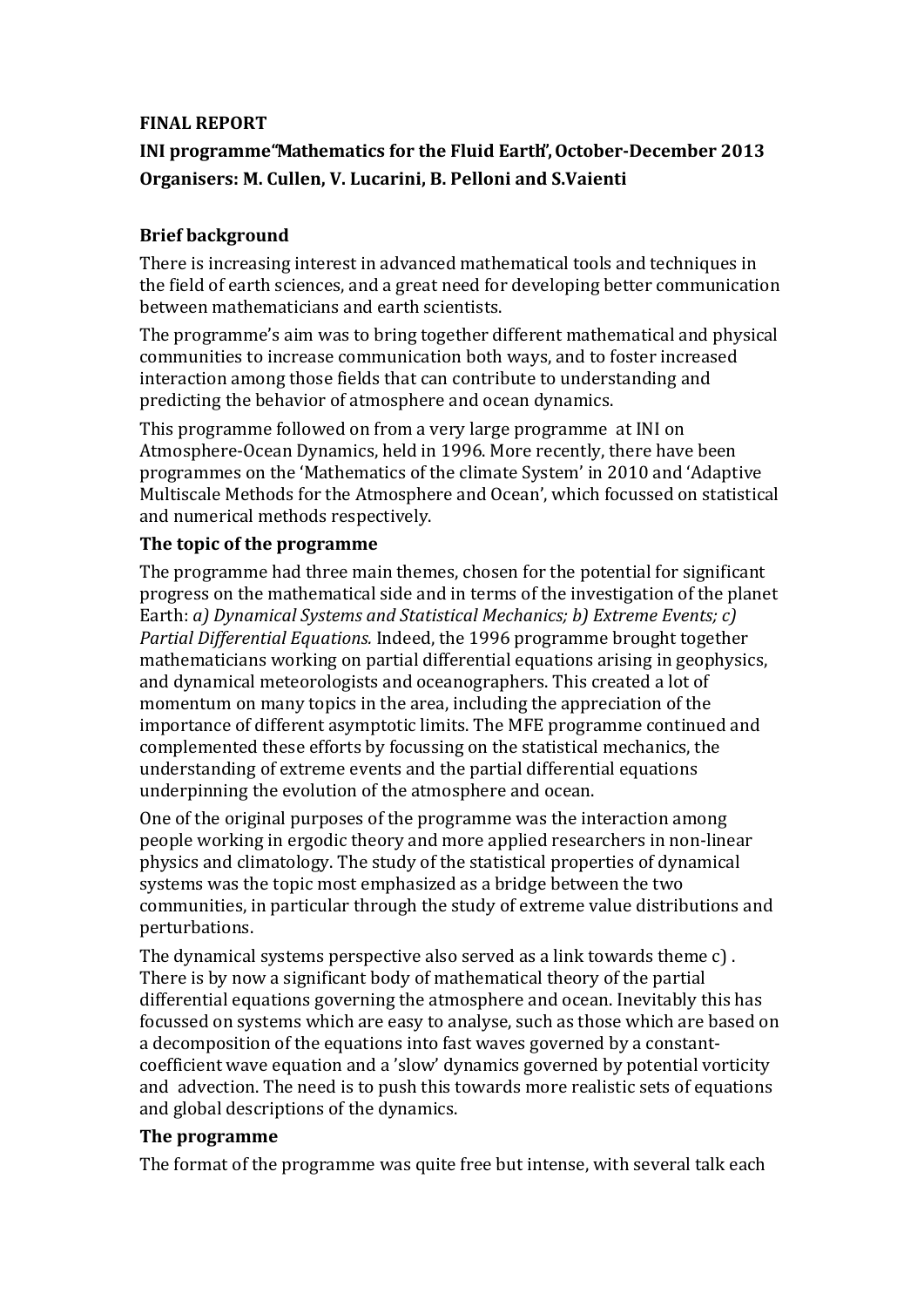### **FINAL REPORT**

# **INI programme"Mathematics for the Fluid Earth",OctoberDecember 2013 Organisers: M. Cullen, V. Lucarini, B. Pelloni and S.Vaienti**

# **Brief background**

There is increasing interest in advanced mathematical tools and techniques in the field of earth sciences, and a great need for developing better communication between mathematicians and earth scientists.

The programme's aim was to bring together different mathematical and physical communities to increase communication both ways, and to foster increased interaction among those fields that can contribute to understanding and predicting the behavior of atmosphere and ocean dynamics.

This programme followed on from a very large programme at INI on Atmosphere‐Ocean Dynamics, held in 1996. More recently, there have been programmes on the 'Mathematics of the climate System' in 2010 and 'Adaptive Multiscale Methods for the Atmosphere and Ocean', which focussed on statistical and numerical methods respectively.

# **The topic of the programme**

The programme had three main themes, chosen for the potential for significant progress on the mathematical side and in terms of the investigation of the planet Earth: *a) Dynamical Systems and Statistical Mechanics; b) Extreme Events; c) Partial Differential Equations.* Indeed, the 1996 programme brought together mathematicians working on partial differential equations arising in geophysics, and dynamical meteorologists and oceanographers. This created a lot of momentum on many topics in the area, including the appreciation of the importance of different asymptotic limits. The MFE programme continued and complemented these efforts by focussing on the statistical mechanics, the understanding of extreme events and the partial differential equations underpinning the evolution of the atmosphere and ocean.

One of the original purposes of the programme was the interaction among people working in ergodic theory and more applied researchers in non‐linear physics and climatology. The study of the statistical properties of dynamical systems was the topic most emphasized as a bridge between the two communities, in particular through the study of extreme value distributions and perturbations.

The dynamical systems perspective also served as a link towards theme c) . There is by now a significant body of mathematical theory of the partial differential equations governing the atmosphere and ocean. Inevitably this has focussed on systems which are easy to analyse, such as those which are based on a decomposition of the equations into fast waves governed by a constant‐ coefficient wave equation and a 'slow' dynamics governed by potential vorticity and advection. The need is to push this towards more realistic sets of equations and global descriptions of the dynamics.

# **The programme**

The format of the programme was quite free but intense, with several talk each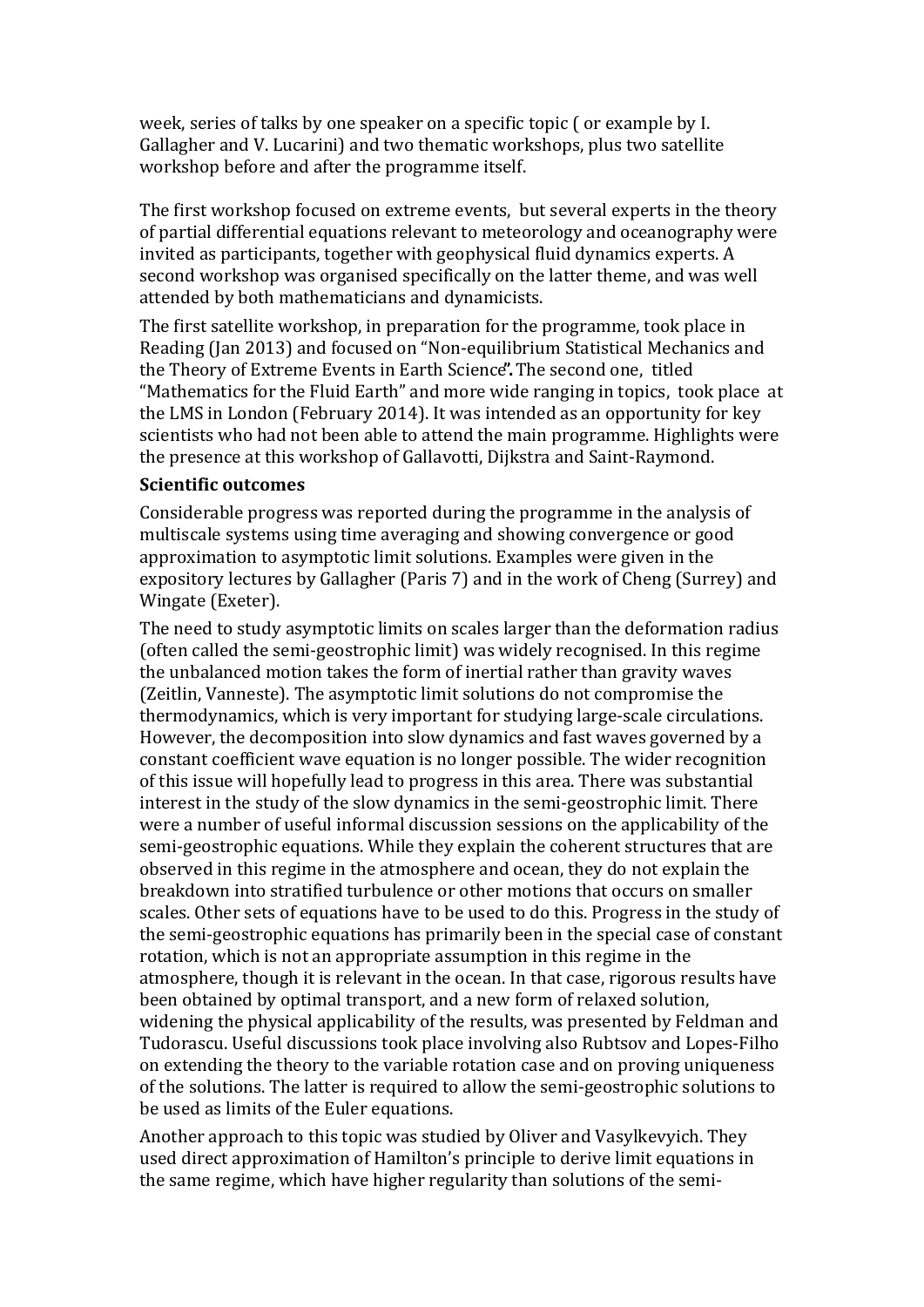week, series of talks by one speaker on a specific topic ( or example by I. Gallagher and V. Lucarini) and two thematic workshops, plus two satellite workshop before and after the programme itself.

The first workshop focused on extreme events, but several experts in the theory of partial differential equations relevant to meteorology and oceanography were invited as participants, together with geophysical fluid dynamics experts. A second workshop was organised specifically on the latter theme, and was well attended by both mathematicians and dynamicists.

The first satellite workshop, in preparation for the programme, took place in Reading (Jan 2013) and focused on "Non‐equilibrium Statistical Mechanics and the Theory of Extreme Events in Earth Science**".**The second one, titled "Mathematics for the Fluid Earth" and more wide ranging in topics, took place at the LMS in London (February 2014). It was intended as an opportunity for key scientists who had not been able to attend the main programme. Highlights were the presence at this workshop of Gallavotti, Dijkstra and Saint‐Raymond.

#### **Scientific outcomes**

Considerable progress was reported during the programme in the analysis of multiscale systems using time averaging and showing convergence or good approximation to asymptotic limit solutions. Examples were given in the expository lectures by Gallagher (Paris 7) and in the work of Cheng (Surrey) and Wingate (Exeter).

The need to study asymptotic limits on scales larger than the deformation radius (often called the semi‐geostrophic limit) was widely recognised. In this regime the unbalanced motion takes the form of inertial rather than gravity waves (Zeitlin, Vanneste). The asymptotic limit solutions do not compromise the thermodynamics, which is very important for studying large‐scale circulations. However, the decomposition into slow dynamics and fast waves governed by a constant coefficient wave equation is no longer possible. The wider recognition of this issue will hopefully lead to progress in this area. There was substantial interest in the study of the slow dynamics in the semi‐geostrophic limit. There were a number of useful informal discussion sessions on the applicability of the semi‐geostrophic equations. While they explain the coherent structures that are observed in this regime in the atmosphere and ocean, they do not explain the breakdown into stratified turbulence or other motions that occurs on smaller scales. Other sets of equations have to be used to do this. Progress in the study of the semi‐geostrophic equations has primarily been in the special case of constant rotation, which is not an appropriate assumption in this regime in the atmosphere, though it is relevant in the ocean. In that case, rigorous results have been obtained by optimal transport, and a new form of relaxed solution, widening the physical applicability of the results, was presented by Feldman and Tudorascu. Useful discussions took place involving also Rubtsov and Lopes‐Filho on extending the theory to the variable rotation case and on proving uniqueness of the solutions. The latter is required to allow the semi‐geostrophic solutions to be used as limits of the Euler equations.

Another approach to this topic was studied by Oliver and Vasylkevyich. They used direct approximation of Hamilton's principle to derive limit equations in the same regime, which have higher regularity than solutions of the semi‐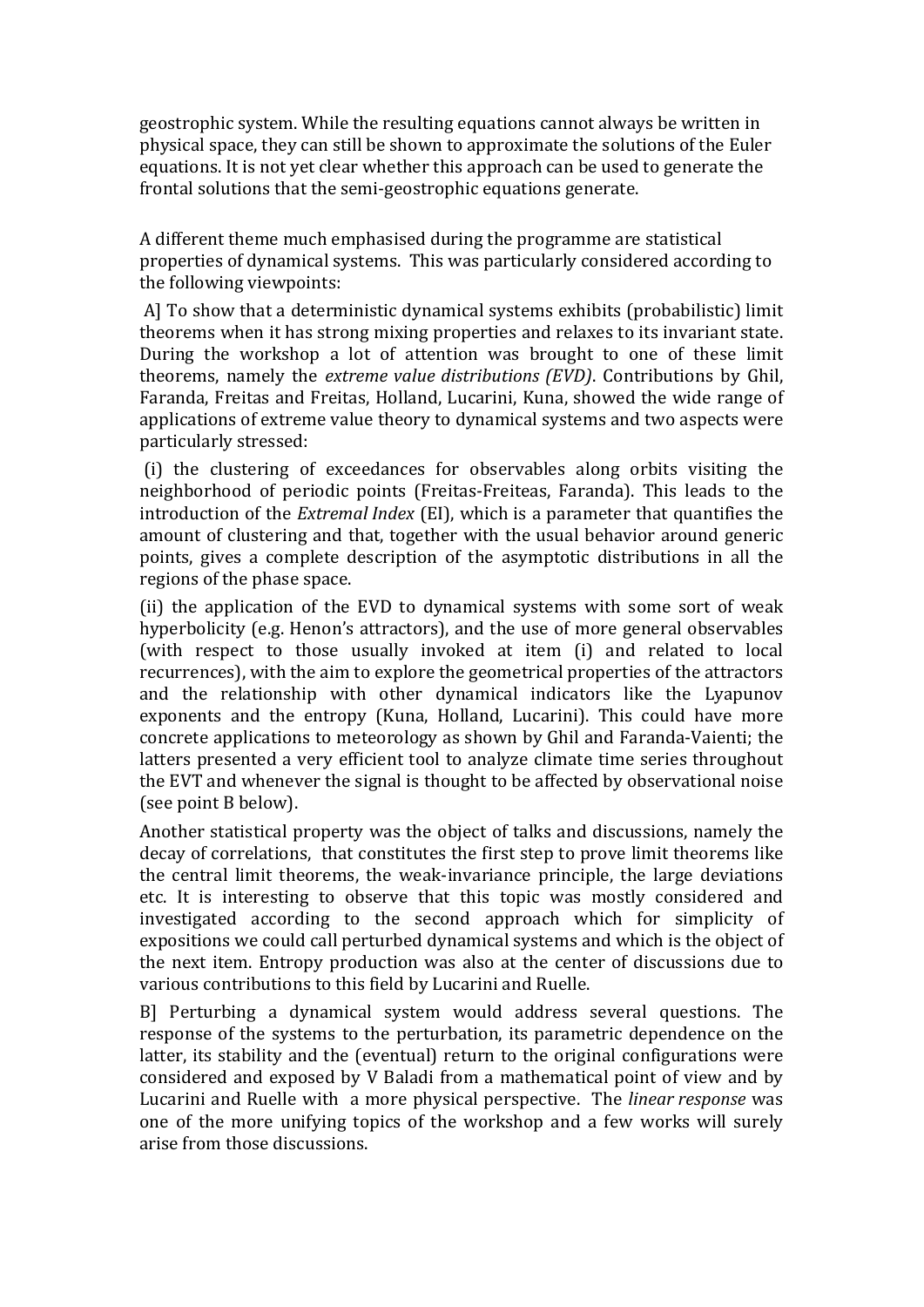geostrophic system. While the resulting equations cannot always be written in physical space, they can still be shown to approximate the solutions of the Euler equations. It is not yet clear whether this approach can be used to generate the frontal solutions that the semi‐geostrophic equations generate.

A different theme much emphasised during the programme are statistical properties of dynamical systems. This was particularly considered according to the following viewpoints:

 A] To show that a deterministic dynamical systems exhibits (probabilistic) limit theorems when it has strong mixing properties and relaxes to its invariant state. During the workshop a lot of attention was brought to one of these limit theorems, namely the *extreme value distributions (EVD)*. Contributions by Ghil, Faranda, Freitas and Freitas, Holland, Lucarini, Kuna, showed the wide range of applications of extreme value theory to dynamical systems and two aspects were particularly stressed:

 (i) the clustering of exceedances for observables along orbits visiting the neighborhood of periodic points (Freitas‐Freiteas, Faranda). This leads to the introduction of the *Extremal Index* (EI), which is a parameter that quantifies the amount of clustering and that, together with the usual behavior around generic points, gives a complete description of the asymptotic distributions in all the regions of the phase space.

(ii) the application of the EVD to dynamical systems with some sort of weak hyperbolicity (e.g. Henon's attractors), and the use of more general observables (with respect to those usually invoked at item (i) and related to local recurrences), with the aim to explore the geometrical properties of the attractors and the relationship with other dynamical indicators like the Lyapunov exponents and the entropy (Kuna, Holland, Lucarini). This could have more concrete applications to meteorology as shown by Ghil and Faranda‐Vaienti; the latters presented a very efficient tool to analyze climate time series throughout the EVT and whenever the signal is thought to be affected by observational noise (see point B below).

Another statistical property was the object of talks and discussions, namely the decay of correlations, that constitutes the first step to prove limit theorems like the central limit theorems, the weak‐invariance principle, the large deviations etc. It is interesting to observe that this topic was mostly considered and investigated according to the second approach which for simplicity of expositions we could call perturbed dynamical systems and which is the object of the next item. Entropy production was also at the center of discussions due to various contributions to this field by Lucarini and Ruelle.

B] Perturbing a dynamical system would address several questions. The response of the systems to the perturbation, its parametric dependence on the latter, its stability and the (eventual) return to the original configurations were considered and exposed by V Baladi from a mathematical point of view and by Lucarini and Ruelle with a more physical perspective. The *linear response* was one of the more unifying topics of the workshop and a few works will surely arise from those discussions.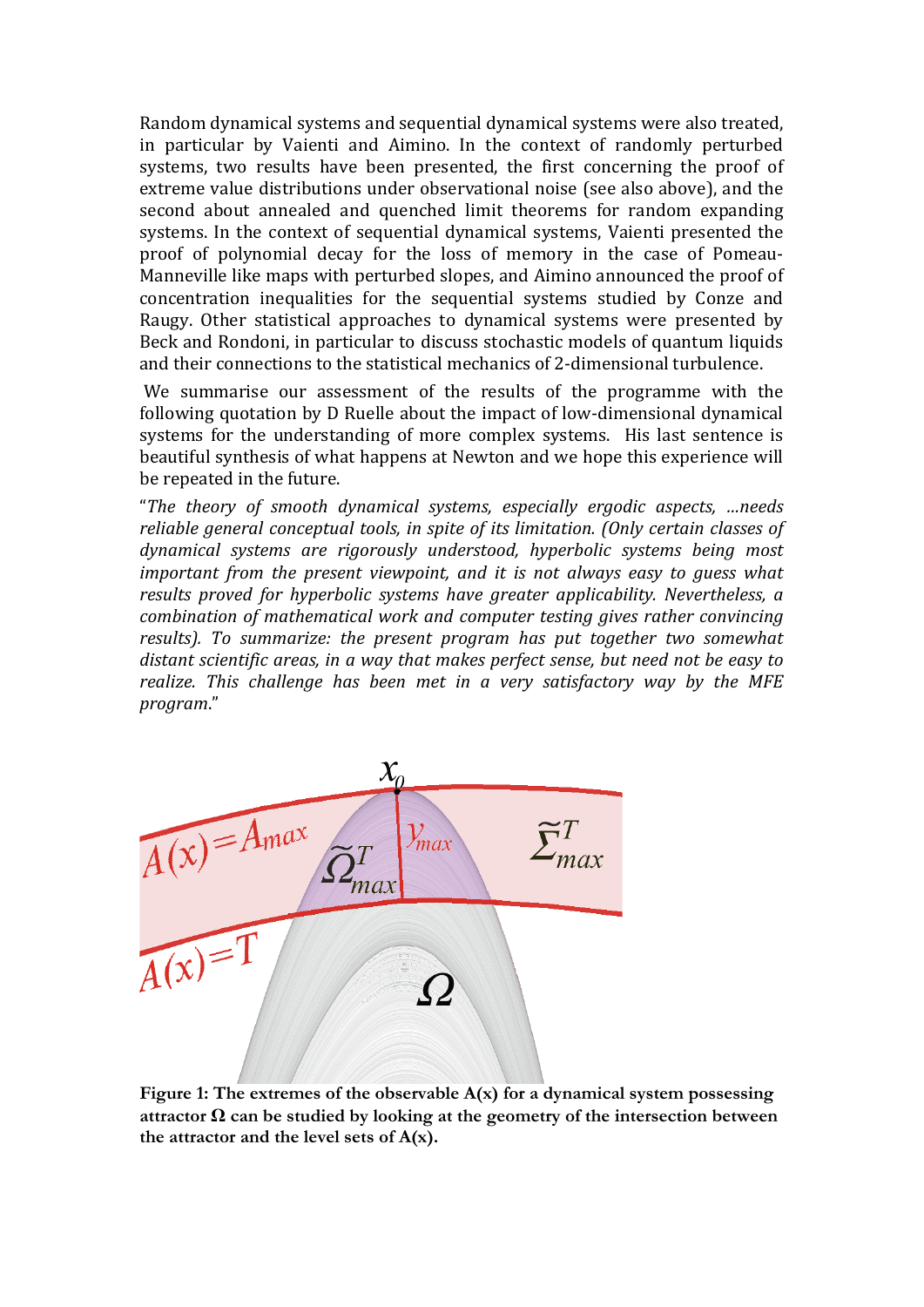Random dynamical systems and sequential dynamical systems were also treated, in particular by Vaienti and Aimino. In the context of randomly perturbed systems, two results have been presented, the first concerning the proof of extreme value distributions under observational noise (see also above), and the second about annealed and quenched limit theorems for random expanding systems. In the context of sequential dynamical systems, Vaienti presented the proof of polynomial decay for the loss of memory in the case of Pomeau‐ Manneville like maps with perturbed slopes, and Aimino announced the proof of concentration inequalities for the sequential systems studied by Conze and Raugy. Other statistical approaches to dynamical systems were presented by Beck and Rondoni, in particular to discuss stochastic models of quantum liquids and their connections to the statistical mechanics of 2‐dimensional turbulence.

We summarise our assessment of the results of the programme with the following quotation by D Ruelle about the impact of low‐dimensional dynamical systems for the understanding of more complex systems. His last sentence is beautiful synthesis of what happens at Newton and we hope this experience will be repeated in the future.

"*The theory of smooth dynamical systems, especially ergodic aspects, …needs reliable general conceptual tools, in spite of its limitation. (Only certain classes of dynamical systems are rigorously understood, hyperbolic systems being most important from the present viewpoint, and it is not always easy to guess what results proved for hyperbolic systems have greater applicability. Nevertheless, a combination of mathematical work and computer testing gives rather convincing results). To summarize: the present program has put together two somewhat distant scientific areas, in a way that makes perfect sense, but need not be easy to realize. This challenge has been met in a very satisfactory way by the MFE program*."



**Figure 1: The extremes of the observable A(x) for a dynamical system possessing attractor Ω can be studied by looking at the geometry of the intersection between the attractor and the level sets of A(x).**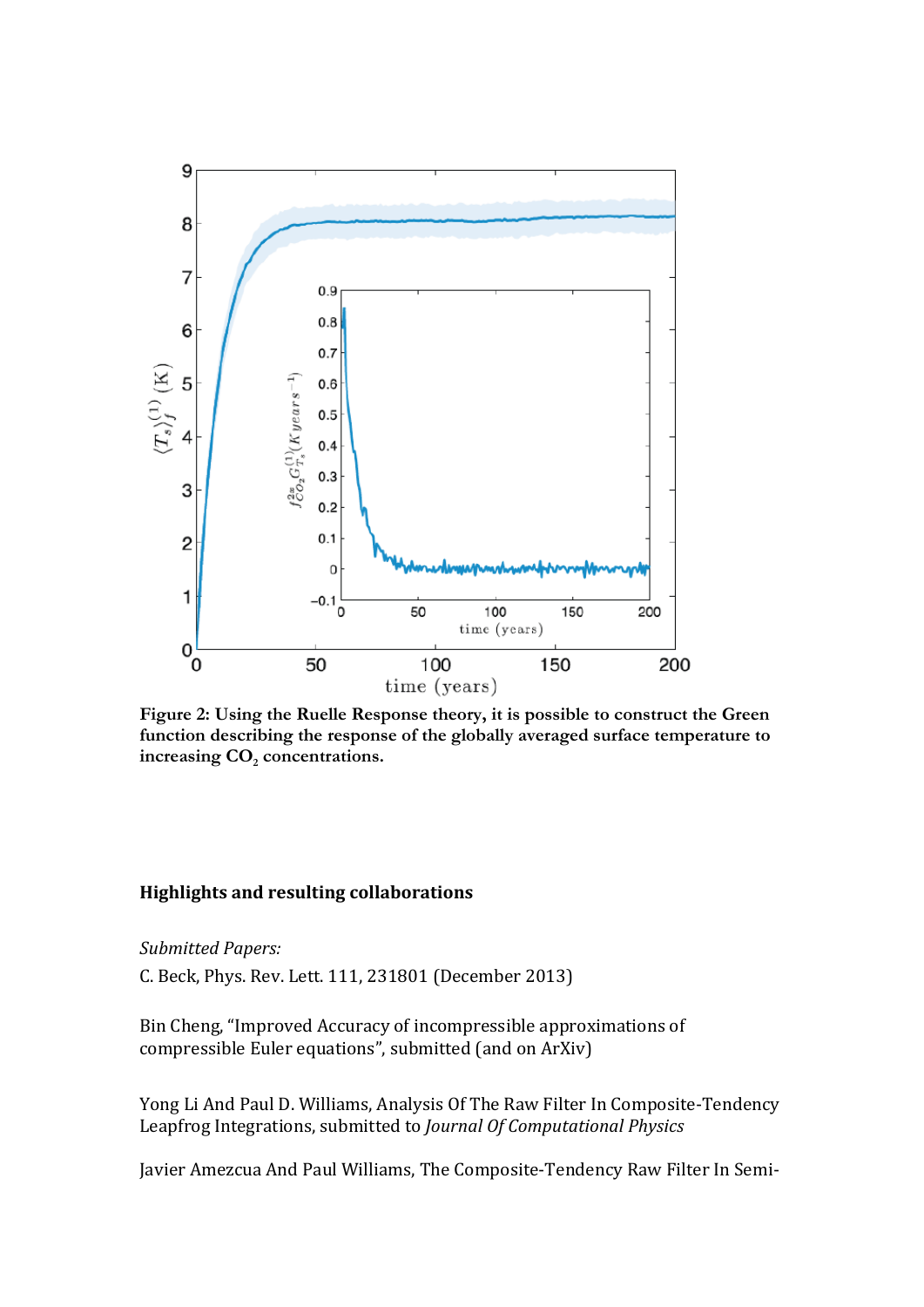

**Figure 2: Using the Ruelle Response theory, it is possible to construct the Green function describing the response of the globally averaged surface temperature to**  increasing CO<sub>2</sub> concentrations.

### **Highlights and resulting collaborations**

*Submitted Papers:*

C. Beck, Phys. Rev. Lett. 111, 231801 (December 2013)

Bin Cheng, "Improved Accuracy of incompressible approximations of compressible Euler equations", submitted (and on ArXiv)

Yong Li And Paul D. Williams, Analysis Of The Raw Filter In Composite‐Tendency Leapfrog Integrations, submitted to *Journal Of Computational Physics*

Javier Amezcua And Paul Williams, The Composite‐Tendency Raw Filter In Semi‐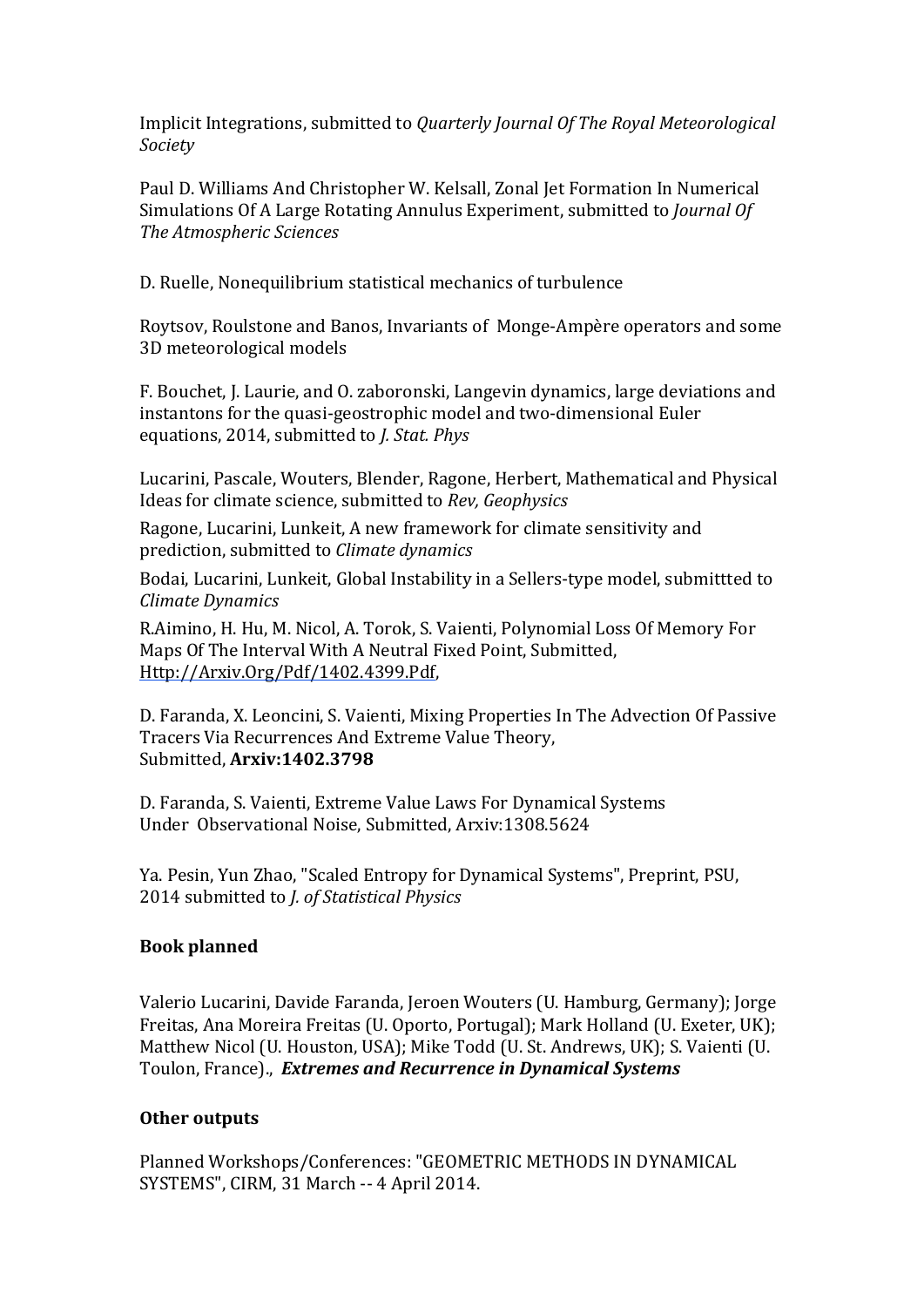Implicit Integrations, submitted to *Quarterly Journal Of The Royal Meteorological Society*

Paul D. Williams And Christopher W. Kelsall, Zonal Jet Formation In Numerical Simulations Of A Large Rotating Annulus Experiment, submitted to *Journal Of The Atmospheric Sciences*

D. Ruelle, Nonequilibrium statistical mechanics of turbulence

Roytsov, Roulstone and Banos, Invariants of Monge‐Ampère operators and some 3D meteorological models

F. Bouchet, J. Laurie, and O. zaboronski, Langevin dynamics, large deviations and instantons for the quasi-geostrophic model and two-dimensional Euler equations, 2014, submitted to *J. Stat. Phys*

Lucarini, Pascale, Wouters, Blender, Ragone, Herbert, Mathematical and Physical Ideas for climate science, submitted to *Rev, Geophysics*

Ragone, Lucarini, Lunkeit, A new framework for climate sensitivity and prediction, submitted to *Climate dynamics*

Bodai, Lucarini, Lunkeit, Global Instability in a Sellers‐type model, submittted to *Climate Dynamics*

R.Aimino, H. Hu, M. Nicol, A. Torok, S. Vaienti, Polynomial Loss Of Memory For Maps Of The Interval With A Neutral Fixed Point, Submitted, Http://Arxiv.Org/Pdf/1402.4399.Pdf,

D. Faranda, X. Leoncini, S. Vaienti, Mixing Properties In The Advection Of Passive Tracers Via Recurrences And Extreme Value Theory, Submitted, **Arxiv:1402.3798**

D. Faranda, S. Vaienti, Extreme Value Laws For Dynamical Systems Under Observational Noise, Submitted, Arxiv:1308.5624

Ya. Pesin, Yun Zhao, "Scaled Entropy for Dynamical Systems", Preprint, PSU, 2014 submitted to *J. of Statistical Physics*

# **Book planned**

Valerio Lucarini, Davide Faranda, Jeroen Wouters (U. Hamburg, Germany); Jorge Freitas, Ana Moreira Freitas (U. Oporto, Portugal); Mark Holland (U. Exeter, UK); Matthew Nicol (U. Houston, USA); Mike Todd (U. St. Andrews, UK); S. Vaienti (U. Toulon, France)., *Extremes and Recurrence in Dynamical Systems*

# **Other outputs**

Planned Workshops/Conferences: "GEOMETRIC METHODS IN DYNAMICAL SYSTEMS", CIRM, 31 March ‐‐ 4 April 2014.